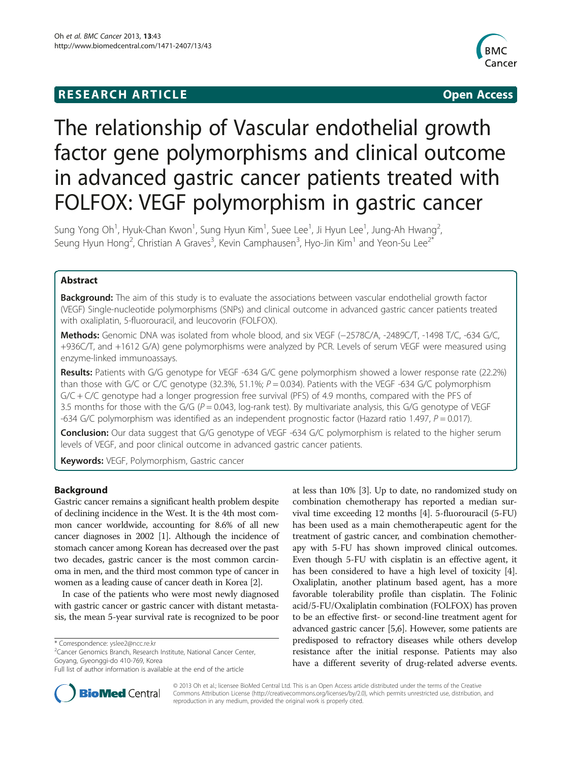# **RESEARCH ARTICLE Example 2018 12:00 Department of the CONNECTION CONNECTION CONNECTION CONNECTION**



# The relationship of Vascular endothelial growth factor gene polymorphisms and clinical outcome in advanced gastric cancer patients treated with FOLFOX: VEGF polymorphism in gastric cancer

Sung Yong Oh $^1$ , Hyuk-Chan Kwon $^1$ , Sung Hyun Kim $^1$ , Suee Lee $^1$ , Ji Hyun Lee $^1$ , Jung-Ah Hwang $^2$ , Seung Hyun Hong<sup>2</sup>, Christian A Graves<sup>3</sup>, Kevin Camphausen<sup>3</sup>, Hyo-Jin Kim<sup>1</sup> and Yeon-Su Lee<sup>2\*</sup>

# Abstract

Background: The aim of this study is to evaluate the associations between vascular endothelial growth factor (VEGF) Single-nucleotide polymorphisms (SNPs) and clinical outcome in advanced gastric cancer patients treated with oxaliplatin, 5-fluorouracil, and leucovorin (FOLFOX).

Methods: Genomic DNA was isolated from whole blood, and six VEGF (-2578C/A, -2489C/T, -1498 T/C, -634 G/C, +936C/T, and +1612 G/A) gene polymorphisms were analyzed by PCR. Levels of serum VEGF were measured using enzyme-linked immunoassays.

Results: Patients with G/G genotype for VEGF -634 G/C gene polymorphism showed a lower response rate (22.2%) than those with G/C or C/C genotype (32.3%, 51.1%;  $P = 0.034$ ). Patients with the VEGF -634 G/C polymorphism G/C + C/C genotype had a longer progression free survival (PFS) of 4.9 months, compared with the PFS of 3.5 months for those with the G/G ( $P = 0.043$ , log-rank test). By multivariate analysis, this G/G genotype of VEGF -634 G/C polymorphism was identified as an independent prognostic factor (Hazard ratio 1.497,  $P = 0.017$ ).

Conclusion: Our data suggest that G/G genotype of VEGF -634 G/C polymorphism is related to the higher serum levels of VEGF, and poor clinical outcome in advanced gastric cancer patients.

Keywords: VEGF, Polymorphism, Gastric cancer

# Background

Gastric cancer remains a significant health problem despite of declining incidence in the West. It is the 4th most common cancer worldwide, accounting for 8.6% of all new cancer diagnoses in 2002 [\[1\]](#page-6-0). Although the incidence of stomach cancer among Korean has decreased over the past two decades, gastric cancer is the most common carcinoma in men, and the third most common type of cancer in women as a leading cause of cancer death in Korea [[2](#page-6-0)].

In case of the patients who were most newly diagnosed with gastric cancer or gastric cancer with distant metastasis, the mean 5-year survival rate is recognized to be poor

at less than 10% [[3\]](#page-7-0). Up to date, no randomized study on combination chemotherapy has reported a median survival time exceeding 12 months [\[4](#page-7-0)]. 5-fluorouracil (5-FU) has been used as a main chemotherapeutic agent for the treatment of gastric cancer, and combination chemotherapy with 5-FU has shown improved clinical outcomes. Even though 5-FU with cisplatin is an effective agent, it has been considered to have a high level of toxicity [[4](#page-7-0)]. Oxaliplatin, another platinum based agent, has a more favorable tolerability profile than cisplatin. The Folinic acid/5-FU/Oxaliplatin combination (FOLFOX) has proven to be an effective first- or second-line treatment agent for advanced gastric cancer [[5,6\]](#page-7-0). However, some patients are predisposed to refractory diseases while others develop resistance after the initial response. Patients may also have a different severity of drug-related adverse events.



© 2013 Oh et al.; licensee BioMed Central Ltd. This is an Open Access article distributed under the terms of the Creative Commons Attribution License [\(http://creativecommons.org/licenses/by/2.0\)](http://creativecommons.org/licenses/by/2.0), which permits unrestricted use, distribution, and reproduction in any medium, provided the original work is properly cited.

<sup>\*</sup> Correspondence: [yslee2@ncc.re.kr](mailto:yslee2@ncc.re.kr) <sup>2</sup>

<sup>&</sup>lt;sup>2</sup> Cancer Genomics Branch, Research Institute, National Cancer Center, Goyang, Gyeonggi-do 410-769, Korea

Full list of author information is available at the end of the article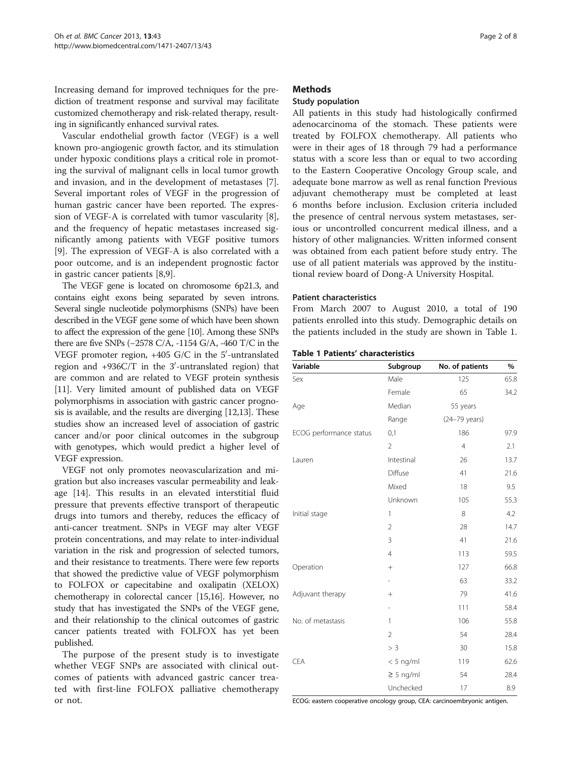Increasing demand for improved techniques for the prediction of treatment response and survival may facilitate customized chemotherapy and risk-related therapy, resulting in significantly enhanced survival rates.

Vascular endothelial growth factor (VEGF) is a well known pro-angiogenic growth factor, and its stimulation under hypoxic conditions plays a critical role in promoting the survival of malignant cells in local tumor growth and invasion, and in the development of metastases [\[7](#page-7-0)]. Several important roles of VEGF in the progression of human gastric cancer have been reported. The expression of VEGF-A is correlated with tumor vascularity [\[8](#page-7-0)], and the frequency of hepatic metastases increased significantly among patients with VEGF positive tumors [[9\]](#page-7-0). The expression of VEGF-A is also correlated with a poor outcome, and is an independent prognostic factor in gastric cancer patients [\[8,9](#page-7-0)].

The VEGF gene is located on chromosome 6p21.3, and contains eight exons being separated by seven introns. Several single nucleotide polymorphisms (SNPs) have been described in the VEGF gene some of which have been shown to affect the expression of the gene [\[10](#page-7-0)]. Among these SNPs there are five SNPs (−2578 C/A, -1154 G/A, -460 T/C in the VEGF promoter region, +405 G/C in the 5 $^{\prime}$ -untranslated region and +936C/T in the 3'-untranslated region) that are common and are related to VEGF protein synthesis [[11](#page-7-0)]. Very limited amount of published data on VEGF polymorphisms in association with gastric cancer prognosis is available, and the results are diverging [\[12,13\]](#page-7-0). These studies show an increased level of association of gastric cancer and/or poor clinical outcomes in the subgroup with genotypes, which would predict a higher level of VEGF expression.

VEGF not only promotes neovascularization and migration but also increases vascular permeability and leakage [\[14\]](#page-7-0). This results in an elevated interstitial fluid pressure that prevents effective transport of therapeutic drugs into tumors and thereby, reduces the efficacy of anti-cancer treatment. SNPs in VEGF may alter VEGF protein concentrations, and may relate to inter-individual variation in the risk and progression of selected tumors, and their resistance to treatments. There were few reports that showed the predictive value of VEGF polymorphism to FOLFOX or capecitabine and oxalipatin (XELOX) chemotherapy in colorectal cancer [\[15,16\]](#page-7-0). However, no study that has investigated the SNPs of the VEGF gene, and their relationship to the clinical outcomes of gastric cancer patients treated with FOLFOX has yet been published.

The purpose of the present study is to investigate whether VEGF SNPs are associated with clinical outcomes of patients with advanced gastric cancer treated with first-line FOLFOX palliative chemotherapy or not.

## **Methods**

### Study population

All patients in this study had histologically confirmed adenocarcinoma of the stomach. These patients were treated by FOLFOX chemotherapy. All patients who were in their ages of 18 through 79 had a performance status with a score less than or equal to two according to the Eastern Cooperative Oncology Group scale, and adequate bone marrow as well as renal function Previous adjuvant chemotherapy must be completed at least 6 months before inclusion. Exclusion criteria included the presence of central nervous system metastases, serious or uncontrolled concurrent medical illness, and a history of other malignancies. Written informed consent was obtained from each patient before study entry. The use of all patient materials was approved by the institutional review board of Dong-A University Hospital.

#### Patient characteristics

From March 2007 to August 2010, a total of 190 patients enrolled into this study. Demographic details on the patients included in the study are shown in Table 1.

| Table 1 Patients' characteristics |  |
|-----------------------------------|--|
|-----------------------------------|--|

| Variable                | Subgroup       | No. of patients | %    |
|-------------------------|----------------|-----------------|------|
| Sex                     | Male           | 125             | 65.8 |
|                         | Female         | 65              | 34.2 |
| Age                     | Median         | 55 years        |      |
|                         | Range          | (24-79 years)   |      |
| ECOG performance status | 0,1            | 186             | 97.9 |
|                         | $\overline{2}$ | $\overline{4}$  | 2.1  |
| Lauren                  | Intestinal     | 26              | 13.7 |
|                         | Diffuse        | 41              | 21.6 |
|                         | Mixed          | 18              | 9.5  |
|                         | Unknown        | 105             | 55.3 |
| Initial stage           | 1              | 8               | 4.2  |
|                         | $\overline{2}$ | 28              | 14.7 |
|                         | 3              | 41              | 21.6 |
|                         | $\overline{4}$ | 113             | 59.5 |
| Operation               | $^{+}$         | 127             | 66.8 |
|                         | $\overline{a}$ | 63              | 33.2 |
| Adjuvant therapy        | $^{+}$         | 79              | 41.6 |
|                         | $\overline{a}$ | 111             | 58.4 |
| No. of metastasis       | 1              | 106             | 55.8 |
|                         | $\overline{2}$ | 54              | 28.4 |
|                         | > 3            | 30              | 15.8 |
| <b>CEA</b>              | $< 5$ ng/ml    | 119             | 62.6 |
|                         | $\geq$ 5 ng/ml | 54              | 28.4 |
|                         | Unchecked      | 17              | 8.9  |

ECOG: eastern cooperative oncology group, CEA: carcinoembryonic antigen.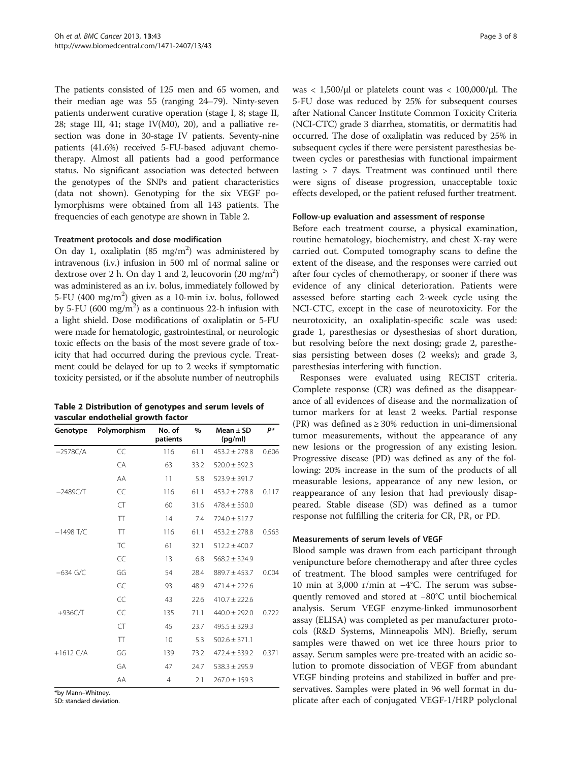<span id="page-2-0"></span>The patients consisted of 125 men and 65 women, and their median age was 55 (ranging 24–79). Ninty-seven patients underwent curative operation (stage I, 8; stage II, 28; stage III, 41; stage IV(M0), 20), and a palliative resection was done in 30-stage IV patients. Seventy-nine patients (41.6%) received 5-FU-based adjuvant chemotherapy. Almost all patients had a good performance status. No significant association was detected between the genotypes of the SNPs and patient characteristics (data not shown). Genotyping for the six VEGF polymorphisms were obtained from all 143 patients. The frequencies of each genotype are shown in Table 2.

# Treatment protocols and dose modification

On day 1, oxaliplatin  $(85 \text{ mg/m}^2)$  was administered by intravenous (i.v.) infusion in 500 ml of normal saline or dextrose over 2 h. On day 1 and 2, leucovorin (20 mg/m<sup>2</sup>) was administered as an i.v. bolus, immediately followed by 5-FU (400 mg/m<sup>2</sup>) given as a 10-min i.v. bolus, followed by 5-FU (600 mg/m<sup>2</sup>) as a continuous 22-h infusion with a light shield. Dose modifications of oxaliplatin or 5-FU were made for hematologic, gastrointestinal, or neurologic toxic effects on the basis of the most severe grade of toxicity that had occurred during the previous cycle. Treatment could be delayed for up to 2 weeks if symptomatic toxicity persisted, or if the absolute number of neutrophils

| Table 2 Distribution of genotypes and serum levels of |  |  |  |
|-------------------------------------------------------|--|--|--|
| vascular endothelial growth factor                    |  |  |  |

| Genotype    | Polymorphism | No. of<br>patients | $\%$ | Mean $\pm$ SD<br>(pg/ml) | p*    |
|-------------|--------------|--------------------|------|--------------------------|-------|
| $-2578C/A$  | CC           | 116                | 61.1 | $453.2 + 278.8$          | 0.606 |
|             | CA           | 63                 | 33.2 | $520.0 \pm 392.3$        |       |
|             | AA           | 11                 | 5.8  | $523.9 \pm 391.7$        |       |
| $-2489C/T$  | CC           | 116                | 61.1 | $453.2 \pm 278.8$        | 0.117 |
|             | CT           | 60                 | 31.6 | $478.4 \pm 350.0$        |       |
|             | TT           | 14                 | 7.4  | $724.0 \pm 517.7$        |       |
| $-1498$ T/C | TT           | 116                | 61.1 | $453.2 \pm 278.8$        | 0.563 |
|             | TC           | 61                 | 32.1 | $512.2 \pm 400.7$        |       |
|             | CC           | 13                 | 6.8  | $568.2 \pm 324.9$        |       |
| $-634$ G/C  | GG           | 54                 | 28.4 | $889.7 \pm 453.7$        | 0.004 |
|             | GC           | 93                 | 48.9 | $471.4 + 222.6$          |       |
|             | CC           | 43                 | 22.6 | $410.7 + 222.6$          |       |
| $+936C/T$   | CC           | 135                | 71.1 | $440.0 \pm 292.0$        | 0.722 |
|             | CT           | 45                 | 23.7 | $495.5 \pm 329.3$        |       |
|             | TT           | 10                 | 5.3  | $502.6 \pm 371.1$        |       |
| $+1612$ G/A | GG           | 139                | 73.2 | $472.4 \pm 339.2$        | 0.371 |
|             | GA           | 47                 | 24.7 | $538.3 \pm 295.9$        |       |
|             | AA           | 4                  | 2.1  | $267.0 \pm 159.3$        |       |

\*by Mann–Whitney.

SD: standard deviation.

was  $< 1,500/\mu$ l or platelets count was  $< 100,000/\mu$ l. The 5-FU dose was reduced by 25% for subsequent courses after National Cancer Institute Common Toxicity Criteria (NCI-CTC) grade 3 diarrhea, stomatitis, or dermatitis had occurred. The dose of oxaliplatin was reduced by 25% in subsequent cycles if there were persistent paresthesias between cycles or paresthesias with functional impairment lasting > 7 days. Treatment was continued until there were signs of disease progression, unacceptable toxic effects developed, or the patient refused further treatment.

#### Follow-up evaluation and assessment of response

Before each treatment course, a physical examination, routine hematology, biochemistry, and chest X-ray were carried out. Computed tomography scans to define the extent of the disease, and the responses were carried out after four cycles of chemotherapy, or sooner if there was evidence of any clinical deterioration. Patients were assessed before starting each 2-week cycle using the NCI-CTC, except in the case of neurotoxicity. For the neurotoxicity, an oxaliplatin-specific scale was used: grade 1, paresthesias or dysesthesias of short duration, but resolving before the next dosing; grade 2, paresthesias persisting between doses (2 weeks); and grade 3, paresthesias interfering with function.

Responses were evaluated using RECIST criteria. Complete response (CR) was defined as the disappearance of all evidences of disease and the normalization of tumor markers for at least 2 weeks. Partial response (PR) was defined as  $\geq$  30% reduction in uni-dimensional tumor measurements, without the appearance of any new lesions or the progression of any existing lesion. Progressive disease (PD) was defined as any of the following: 20% increase in the sum of the products of all measurable lesions, appearance of any new lesion, or reappearance of any lesion that had previously disappeared. Stable disease (SD) was defined as a tumor response not fulfilling the criteria for CR, PR, or PD.

#### Measurements of serum levels of VEGF

Blood sample was drawn from each participant through venipuncture before chemotherapy and after three cycles of treatment. The blood samples were centrifuged for 10 min at 3,000 r/min at −4°C. The serum was subsequently removed and stored at −80°C until biochemical analysis. Serum VEGF enzyme-linked immunosorbent assay (ELISA) was completed as per manufacturer protocols (R&D Systems, Minneapolis MN). Briefly, serum samples were thawed on wet ice three hours prior to assay. Serum samples were pre-treated with an acidic solution to promote dissociation of VEGF from abundant VEGF binding proteins and stabilized in buffer and preservatives. Samples were plated in 96 well format in duplicate after each of conjugated VEGF-1/HRP polyclonal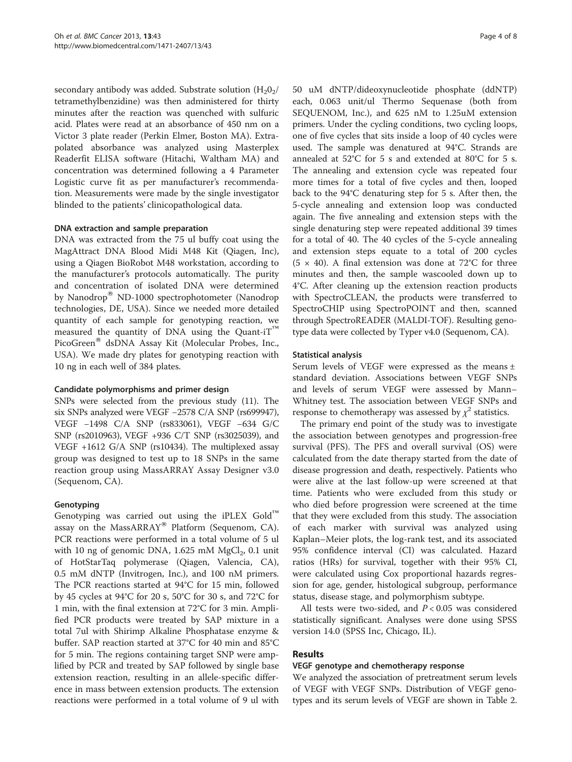secondary antibody was added. Substrate solution  $(H_2O_2)$ tetramethylbenzidine) was then administered for thirty minutes after the reaction was quenched with sulfuric acid. Plates were read at an absorbance of 450 nm on a Victor 3 plate reader (Perkin Elmer, Boston MA). Extrapolated absorbance was analyzed using Masterplex Readerfit ELISA software (Hitachi, Waltham MA) and concentration was determined following a 4 Parameter Logistic curve fit as per manufacturer's recommendation. Measurements were made by the single investigator blinded to the patients' clinicopathological data.

### DNA extraction and sample preparation

DNA was extracted from the 75 ul buffy coat using the MagAttract DNA Blood Midi M48 Kit (Qiagen, Inc), using a Qiagen BioRobot M48 workstation, according to the manufacturer's protocols automatically. The purity and concentration of isolated DNA were determined by Nanodrop® ND-1000 spectrophotometer (Nanodrop technologies, DE, USA). Since we needed more detailed quantity of each sample for genotyping reaction, we measured the quantity of DNA using the Quant-iT<sup>™</sup> PicoGreen® dsDNA Assay Kit (Molecular Probes, Inc., USA). We made dry plates for genotyping reaction with 10 ng in each well of 384 plates.

#### Candidate polymorphisms and primer design

SNPs were selected from the previous study (11). The six SNPs analyzed were VEGF −2578 C/A SNP (rs699947), VEGF −1498 C/A SNP (rs833061), VEGF −634 G/C SNP (rs2010963), VEGF +936 C/T SNP (rs3025039), and VEGF +1612 G/A SNP (rs10434). The multiplexed assay group was designed to test up to 18 SNPs in the same reaction group using MassARRAY Assay Designer v3.0 (Sequenom, CA).

# Genotyping

Genotyping was carried out using the iPLEX  $Gold^{\mathbb{M}}$ assay on the MassARRAY® Platform (Sequenom, CA). PCR reactions were performed in a total volume of 5 ul with 10 ng of genomic DNA, 1.625 mM  $MgCl<sub>2</sub>$ , 0.1 unit of HotStarTaq polymerase (Qiagen, Valencia, CA), 0.5 mM dNTP (Invitrogen, Inc.), and 100 nM primers. The PCR reactions started at 94°C for 15 min, followed by 45 cycles at 94°C for 20 s, 50°C for 30 s, and 72°C for 1 min, with the final extension at 72°C for 3 min. Amplified PCR products were treated by SAP mixture in a total 7ul with Shirimp Alkaline Phosphatase enzyme & buffer. SAP reaction started at 37°C for 40 min and 85°C for 5 min. The regions containing target SNP were amplified by PCR and treated by SAP followed by single base extension reaction, resulting in an allele-specific difference in mass between extension products. The extension reactions were performed in a total volume of 9 ul with 50 uM dNTP/dideoxynucleotide phosphate (ddNTP) each, 0.063 unit/ul Thermo Sequenase (both from SEQUENOM, Inc.), and 625 nM to 1.25uM extension primers. Under the cycling conditions, two cycling loops, one of five cycles that sits inside a loop of 40 cycles were used. The sample was denatured at 94°C. Strands are annealed at 52°C for 5 s and extended at 80°C for 5 s. The annealing and extension cycle was repeated four more times for a total of five cycles and then, looped back to the 94°C denaturing step for 5 s. After then, the 5-cycle annealing and extension loop was conducted again. The five annealing and extension steps with the single denaturing step were repeated additional 39 times for a total of 40. The 40 cycles of the 5-cycle annealing and extension steps equate to a total of 200 cycles  $(5 \times 40)$ . A final extension was done at 72°C for three minutes and then, the sample wascooled down up to 4°C. After cleaning up the extension reaction products with SpectroCLEAN, the products were transferred to SpectroCHIP using SpectroPOINT and then, scanned through SpectroREADER (MALDI-TOF). Resulting genotype data were collected by Typer v4.0 (Sequenom, CA).

### Statistical analysis

Serum levels of VEGF were expressed as the means ± standard deviation. Associations between VEGF SNPs and levels of serum VEGF were assessed by Mann– Whitney test. The association between VEGF SNPs and response to chemotherapy was assessed by  $\chi^2$  statistics.

The primary end point of the study was to investigate the association between genotypes and progression-free survival (PFS). The PFS and overall survival (OS) were calculated from the date therapy started from the date of disease progression and death, respectively. Patients who were alive at the last follow-up were screened at that time. Patients who were excluded from this study or who died before progression were screened at the time that they were excluded from this study. The association of each marker with survival was analyzed using Kaplan–Meier plots, the log-rank test, and its associated 95% confidence interval (CI) was calculated. Hazard ratios (HRs) for survival, together with their 95% CI, were calculated using Cox proportional hazards regression for age, gender, histological subgroup, performance status, disease stage, and polymorphism subtype.

All tests were two-sided, and  $P < 0.05$  was considered statistically significant. Analyses were done using SPSS version 14.0 (SPSS Inc, Chicago, IL).

# Results

#### VEGF genotype and chemotherapy response

We analyzed the association of pretreatment serum levels of VEGF with VEGF SNPs. Distribution of VEGF genotypes and its serum levels of VEGF are shown in Table [2](#page-2-0).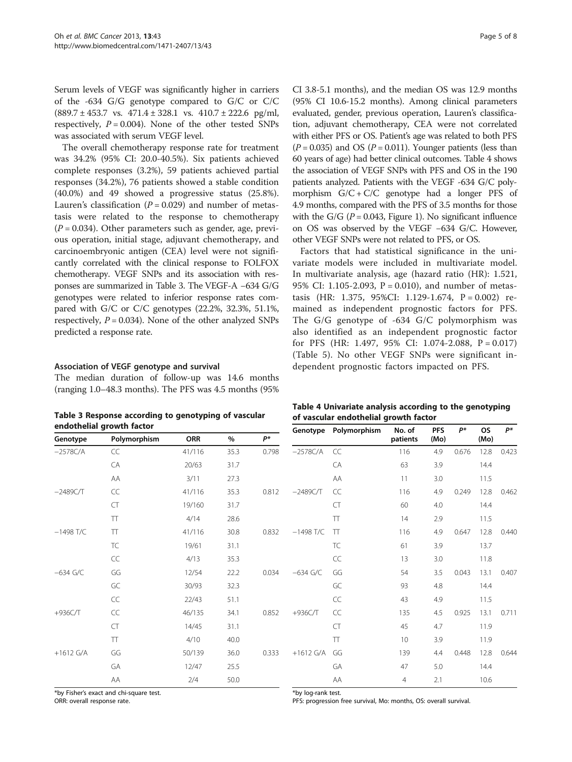Serum levels of VEGF was significantly higher in carriers of the -634 G/G genotype compared to G/C or C/C  $(889.7 \pm 453.7 \text{ vs. } 471.4 \pm 328.1 \text{ vs. } 410.7 \pm 222.6 \text{ pg/ml},$ respectively,  $P = 0.004$ ). None of the other tested SNPs was associated with serum VEGF level.

The overall chemotherapy response rate for treatment was 34.2% (95% CI: 20.0-40.5%). Six patients achieved complete responses (3.2%), 59 patients achieved partial responses (34.2%), 76 patients showed a stable condition (40.0%) and 49 showed a progressive status (25.8%). Lauren's classification ( $P = 0.029$ ) and number of metastasis were related to the response to chemotherapy  $(P = 0.034)$ . Other parameters such as gender, age, previous operation, initial stage, adjuvant chemotherapy, and carcinoembryonic antigen (CEA) level were not significantly correlated with the clinical response to FOLFOX chemotherapy. VEGF SNPs and its association with responses are summarized in Table 3. The VEGF-A −634 G/G genotypes were related to inferior response rates compared with G/C or C/C genotypes (22.2%, 32.3%, 51.1%, respectively,  $P = 0.034$ ). None of the other analyzed SNPs predicted a response rate.

### Association of VEGF genotype and survival

The median duration of follow-up was 14.6 months (ranging 1.0–48.3 months). The PFS was 4.5 months (95%

Table 3 Response according to genotyping of vascular

CI 3.8-5.1 months), and the median OS was 12.9 months (95% CI 10.6-15.2 months). Among clinical parameters evaluated, gender, previous operation, Lauren's classification, adjuvant chemotherapy, CEA were not correlated with either PFS or OS. Patient's age was related to both PFS  $(P = 0.035)$  and OS  $(P = 0.011)$ . Younger patients (less than 60 years of age) had better clinical outcomes. Table 4 shows the association of VEGF SNPs with PFS and OS in the 190 patients analyzed. Patients with the VEGF -634 G/C polymorphism  $G/C + C/C$  genotype had a longer PFS of 4.9 months, compared with the PFS of 3.5 months for those with the G/G ( $P = 0.043$ , Figure [1\)](#page-5-0). No significant influence on OS was observed by the VEGF −634 G/C. However, other VEGF SNPs were not related to PFS, or OS.

Factors that had statistical significance in the univariate models were included in multivariate model. In multivariate analysis, age (hazard ratio (HR): 1.521, 95% CI: 1.105-2.093, P = 0.010), and number of metastasis (HR: 1.375, 95%CI: 1.129-1.674, P = 0.002) remained as independent prognostic factors for PFS. The G/G genotype of -634 G/C polymorphism was also identified as an independent prognostic factor for PFS (HR: 1.497, 95% CI: 1.074-2.088,  $P = 0.017$ ) (Table [5\)](#page-5-0). No other VEGF SNPs were significant independent prognostic factors impacted on PFS.

| Table 4 Univariate analysis according to the genotyping |  |
|---------------------------------------------------------|--|
| of vascular endothelial growth factor                   |  |

| endothelial growth factor |              |            |      |       |             |                   |                    |                    |       |                   |       |
|---------------------------|--------------|------------|------|-------|-------------|-------------------|--------------------|--------------------|-------|-------------------|-------|
| Genotype                  | Polymorphism | <b>ORR</b> | %    | P*    | Genotype    | Polymorphism      | No. of<br>patients | <b>PFS</b><br>(Mo) | $P^*$ | <b>OS</b><br>(Mo) | $P^*$ |
| $-2578C/A$                | CC           | 41/116     | 35.3 | 0.798 | $-2578C/A$  | CC                | 116                | 4.9                | 0.676 | 12.8              | 0.423 |
|                           | CA           | 20/63      | 31.7 |       |             | CA                | 63                 | 3.9                |       | 14.4              |       |
|                           | AA           | 3/11       | 27.3 |       |             | AA                | 11                 | 3.0                |       | 11.5              |       |
| $-2489C/T$                | CC           | 41/116     | 35.3 | 0.812 | $-2489C/T$  | CC                | 116                | 4.9                | 0.249 | 12.8              | 0.462 |
|                           | CT           | 19/160     | 31.7 |       |             | <b>CT</b>         | 60                 | 4.0                |       | 14.4              |       |
|                           | TT           | 4/14       | 28.6 |       |             | $\top$            | 14                 | 2.9                |       | 11.5              |       |
| $-1498$ T/C               | TT           | 41/116     | 30.8 | 0.832 | $-1498$ T/C | $\top$            | 116                | 4.9                | 0.647 | 12.8              | 0.440 |
|                           | TC           | 19/61      | 31.1 |       |             | <b>TC</b>         | 61                 | 3.9                |       | 13.7              |       |
|                           | CC           | 4/13       | 35.3 |       |             | CC                | 13                 | 3.0                |       | 11.8              |       |
| $-634$ G/C                | GG           | 12/54      | 22.2 | 0.034 | $-634$ G/C  | GG                | 54                 | 3.5                | 0.043 | 13.1              | 0.407 |
|                           | GC           | 30/93      | 32.3 |       |             | GC                | 93                 | 4.8                |       | 14.4              |       |
|                           | CC           | 22/43      | 51.1 |       |             | CC                | 43                 | 4.9                |       | 11.5              |       |
| $+936C/T$                 | CC           | 46/135     | 34.1 | 0.852 | $+936C/T$   | $\subset \subset$ | 135                | 4.5                | 0.925 | 13.1              | 0.711 |
|                           | CT           | 14/45      | 31.1 |       |             | <b>CT</b>         | 45                 | 4.7                |       | 11.9              |       |
|                           | TT           | 4/10       | 40.0 |       |             | $\top$            | 10 <sup>°</sup>    | 3.9                |       | 11.9              |       |
| $+1612$ G/A               | GG           | 50/139     | 36.0 | 0.333 | $+1612$ G/A | GG                | 139                | 4.4                | 0.448 | 12.8              | 0.644 |
|                           | GA           | 12/47      | 25.5 |       |             | GA                | 47                 | 5.0                |       | 14.4              |       |
|                           | AA           | 2/4        | 50.0 |       |             | AA                | $\overline{4}$     | 2.1                |       | 10.6              |       |

\*by Fisher's exact and chi-square test.

ORR: overall response rate.

\*by log-rank test. PFS: progression free survival, Mo: months, OS: overall survival.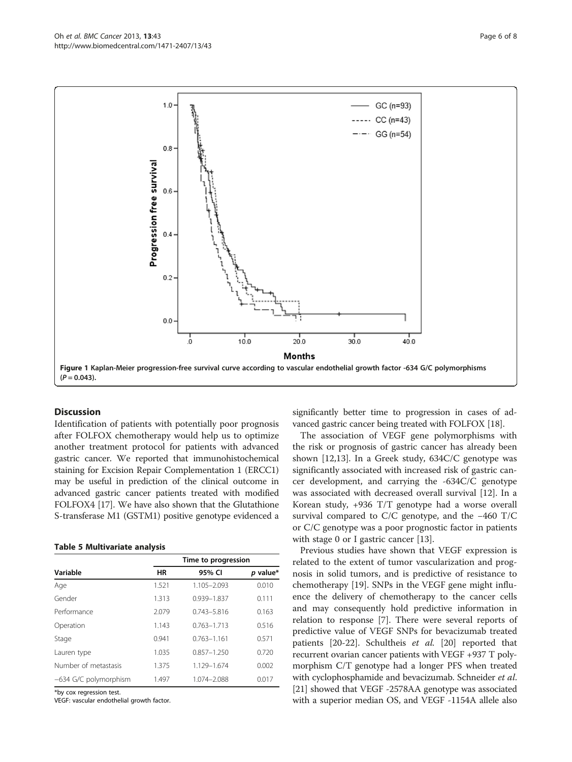<span id="page-5-0"></span>

Figure 1 Kaplan-Meier progression-free survival curve according to vascular endothelial growth factor -634 G/C polymorphisms  $(P = 0.043)$ .

# **Discussion**

Identification of patients with potentially poor prognosis after FOLFOX chemotherapy would help us to optimize another treatment protocol for patients with advanced gastric cancer. We reported that immunohistochemical staining for Excision Repair Complementation 1 (ERCC1) may be useful in prediction of the clinical outcome in advanced gastric cancer patients treated with modified FOLFOX4 [[17\]](#page-7-0). We have also shown that the Glutathione S-transferase M1 (GSTM1) positive genotype evidenced a

#### Table 5 Multivariate analysis

|                       |       | Time to progression |          |
|-----------------------|-------|---------------------|----------|
| Variable              | HR    | 95% CI              | p value* |
| Age                   | 1.521 | 1.105-2.093         | 0.010    |
| Gender                | 1.313 | 0.939-1.837         | 0.111    |
| Performance           | 2.079 | $0.743 - 5.816$     | 0.163    |
| Operation             | 1.143 | $0.763 - 1.713$     | 0.516    |
| Stage                 | 0.941 | $0.763 - 1.161$     | 0.571    |
| Lauren type           | 1.035 | $0.857 - 1.250$     | 0.720    |
| Number of metastasis  | 1.375 | 1.129-1.674         | 0.002    |
| -634 G/C polymorphism | 1.497 | 1.074-2.088         | 0.017    |

\*by cox regression test.

VEGF: vascular endothelial growth factor.

significantly better time to progression in cases of advanced gastric cancer being treated with FOLFOX [[18](#page-7-0)].

The association of VEGF gene polymorphisms with the risk or prognosis of gastric cancer has already been shown [\[12,13](#page-7-0)]. In a Greek study, 634C/C genotype was significantly associated with increased risk of gastric cancer development, and carrying the -634C/C genotype was associated with decreased overall survival [\[12\]](#page-7-0). In a Korean study, +936 T/T genotype had a worse overall survival compared to C/C genotype, and the −460 T/C or C/C genotype was a poor prognostic factor in patients with stage 0 or I gastric cancer [\[13](#page-7-0)].

Previous studies have shown that VEGF expression is related to the extent of tumor vascularization and prognosis in solid tumors, and is predictive of resistance to chemotherapy [\[19\]](#page-7-0). SNPs in the VEGF gene might influence the delivery of chemotherapy to the cancer cells and may consequently hold predictive information in relation to response [[7\]](#page-7-0). There were several reports of predictive value of VEGF SNPs for bevacizumab treated patients [\[20](#page-7-0)-[22\]](#page-7-0). Schultheis et al. [\[20](#page-7-0)] reported that recurrent ovarian cancer patients with VEGF +937 T polymorphism C/T genotype had a longer PFS when treated with cyclophosphamide and bevacizumab. Schneider et al. [[21](#page-7-0)] showed that VEGF -2578AA genotype was associated with a superior median OS, and VEGF -1154A allele also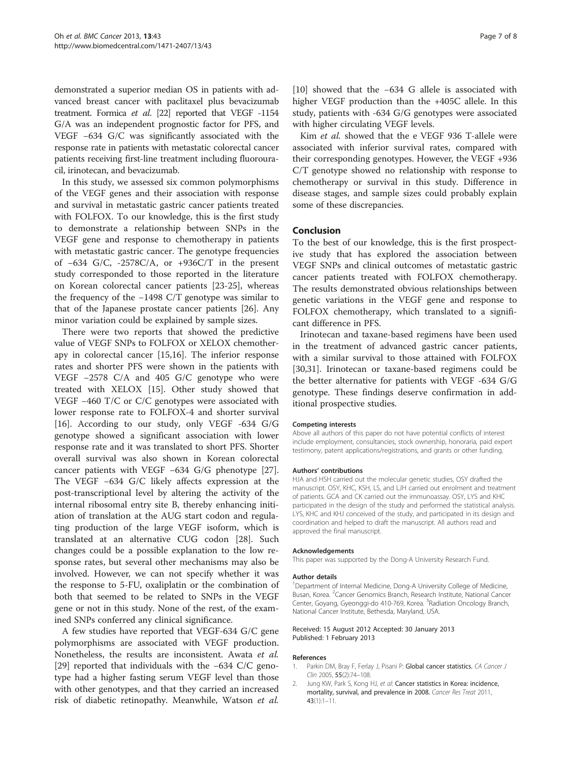<span id="page-6-0"></span>demonstrated a superior median OS in patients with advanced breast cancer with paclitaxel plus bevacizumab treatment. Formica et al. [\[22\]](#page-7-0) reported that VEGF -1154 G/A was an independent prognostic factor for PFS, and VEGF −634 G/C was significantly associated with the response rate in patients with metastatic colorectal cancer patients receiving first-line treatment including fluorouracil, irinotecan, and bevacizumab.

In this study, we assessed six common polymorphisms of the VEGF genes and their association with response and survival in metastatic gastric cancer patients treated with FOLFOX. To our knowledge, this is the first study to demonstrate a relationship between SNPs in the VEGF gene and response to chemotherapy in patients with metastatic gastric cancer. The genotype frequencies of −634 G/C, -2578C/A, or +936C/T in the present study corresponded to those reported in the literature on Korean colorectal cancer patients [\[23-25](#page-7-0)], whereas the frequency of the −1498 C/T genotype was similar to that of the Japanese prostate cancer patients [\[26](#page-7-0)]. Any minor variation could be explained by sample sizes.

There were two reports that showed the predictive value of VEGF SNPs to FOLFOX or XELOX chemotherapy in colorectal cancer [\[15,16\]](#page-7-0). The inferior response rates and shorter PFS were shown in the patients with VEGF −2578 C/A and 405 G/C genotype who were treated with XELOX [\[15](#page-7-0)]. Other study showed that VEGF −460 T/C or C/C genotypes were associated with lower response rate to FOLFOX-4 and shorter survival [[16\]](#page-7-0). According to our study, only VEGF -634 G/G genotype showed a significant association with lower response rate and it was translated to short PFS. Shorter overall survival was also shown in Korean colorectal cancer patients with VEGF −634 G/G phenotype [\[27](#page-7-0)]. The VEGF −634 G/C likely affects expression at the post-transcriptional level by altering the activity of the internal ribosomal entry site B, thereby enhancing initiation of translation at the AUG start codon and regulating production of the large VEGF isoform, which is translated at an alternative CUG codon [\[28](#page-7-0)]. Such changes could be a possible explanation to the low response rates, but several other mechanisms may also be involved. However, we can not specify whether it was the response to 5-FU, oxaliplatin or the combination of both that seemed to be related to SNPs in the VEGF gene or not in this study. None of the rest, of the examined SNPs conferred any clinical significance.

A few studies have reported that VEGF-634 G/C gene polymorphisms are associated with VEGF production. Nonetheless, the results are inconsistent. Awata et al. [[29\]](#page-7-0) reported that individuals with the −634 C/C genotype had a higher fasting serum VEGF level than those with other genotypes, and that they carried an increased risk of diabetic retinopathy. Meanwhile, Watson et al. [[10\]](#page-7-0) showed that the −634 G allele is associated with higher VEGF production than the +405C allele. In this study, patients with -634 G/G genotypes were associated with higher circulating VEGF levels.

Kim et al. showed that the e VEGF 936 T-allele were associated with inferior survival rates, compared with their corresponding genotypes. However, the VEGF +936 C/T genotype showed no relationship with response to chemotherapy or survival in this study. Difference in disease stages, and sample sizes could probably explain some of these discrepancies.

### Conclusion

To the best of our knowledge, this is the first prospective study that has explored the association between VEGF SNPs and clinical outcomes of metastatic gastric cancer patients treated with FOLFOX chemotherapy. The results demonstrated obvious relationships between genetic variations in the VEGF gene and response to FOLFOX chemotherapy, which translated to a significant difference in PFS.

Irinotecan and taxane-based regimens have been used in the treatment of advanced gastric cancer patients, with a similar survival to those attained with FOLFOX [[30,31\]](#page-7-0). Irinotecan or taxane-based regimens could be the better alternative for patients with VEGF -634 G/G genotype. These findings deserve confirmation in additional prospective studies.

#### Competing interests

Above all authors of this paper do not have potential conflicts of interest include employment, consultancies, stock ownership, honoraria, paid expert testimony, patent applications/registrations, and grants or other funding.

#### Authors' contributions

HJA and HSH carried out the molecular genetic studies, OSY drafted the manuscript. OSY, KHC, KSH, LS, and LJH carried out enrolment and treatment of patients. GCA and CK carried out the immunoassay. OSY, LYS and KHC participated in the design of the study and performed the statistical analysis. LYS, KHC and KHJ conceived of the study, and participated in its design and coordination and helped to draft the manuscript. All authors read and approved the final manuscript.

#### Acknowledgements

This paper was supported by the Dong-A University Research Fund.

#### Author details

<sup>1</sup>Department of Internal Medicine, Dong-A University College of Medicine Busan, Korea. <sup>2</sup> Cancer Genomics Branch, Research Institute, National Cancer Center, Goyang, Gyeonggi-do 410-769, Korea. <sup>3</sup>Radiation Oncology Branch National Cancer Institute, Bethesda, Maryland, USA.

#### Received: 15 August 2012 Accepted: 30 January 2013 Published: 1 February 2013

#### References

- 1. Parkin DM, Bray F, Ferlay J, Pisani P: Global cancer statistics. CA Cancer J Clin 2005, 55(2):74–108.
- 2. Jung KW, Park S, Kong HJ, et al: Cancer statistics in Korea: incidence, mortality, survival, and prevalence in 2008. Cancer Res Treat 2011, 43(1):1–11.